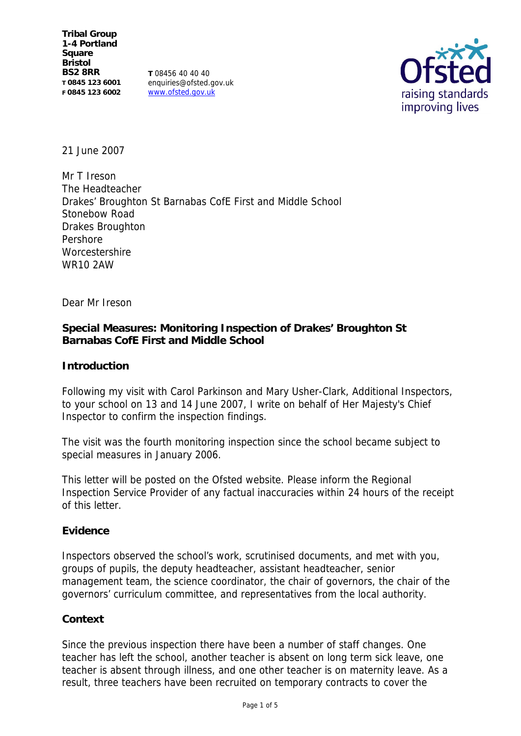**Tribal Group 1-4 Portland Square Bristol BS2 8RR T 0845 123 6001 F 0845 123 6002**

**T** 08456 40 40 40 enquiries@ofsted.gov.uk www.ofsted.gov.uk



21 June 2007

Mr T Ireson The Headteacher Drakes' Broughton St Barnabas CofE First and Middle School Stonebow Road Drakes Broughton Pershore Worcestershire WR10 2AW

Dear Mr Ireson

**Special Measures: Monitoring Inspection of Drakes' Broughton St Barnabas CofE First and Middle School**

**Introduction**

Following my visit with Carol Parkinson and Mary Usher-Clark, Additional Inspectors, to your school on 13 and 14 June 2007, I write on behalf of Her Majesty's Chief Inspector to confirm the inspection findings.

The visit was the fourth monitoring inspection since the school became subject to special measures in January 2006.

This letter will be posted on the Ofsted website. Please inform the Regional Inspection Service Provider of any factual inaccuracies within 24 hours of the receipt of this letter.

**Evidence**

Inspectors observed the school's work, scrutinised documents, and met with you, groups of pupils, the deputy headteacher, assistant headteacher, senior management team, the science coordinator, the chair of governors, the chair of the governors' curriculum committee, and representatives from the local authority.

# **Context**

Since the previous inspection there have been a number of staff changes. One teacher has left the school, another teacher is absent on long term sick leave, one teacher is absent through illness, and one other teacher is on maternity leave. As a result, three teachers have been recruited on temporary contracts to cover the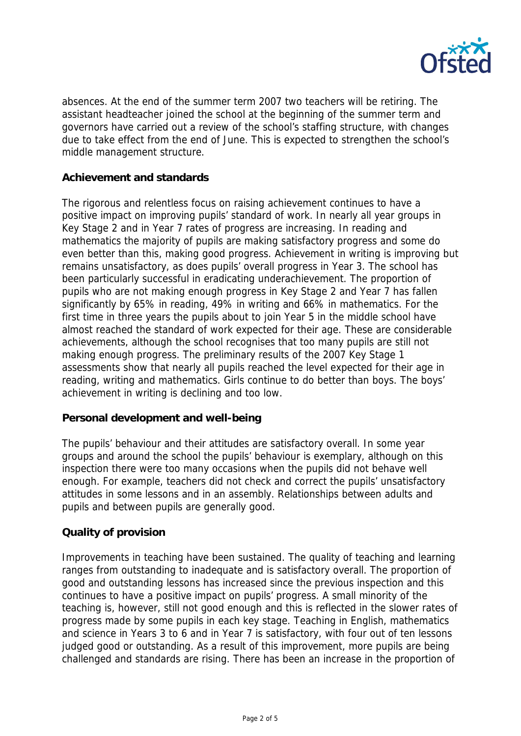

absences. At the end of the summer term 2007 two teachers will be retiring. The assistant headteacher joined the school at the beginning of the summer term and governors have carried out a review of the school's staffing structure, with changes due to take effect from the end of June. This is expected to strengthen the school's middle management structure.

## **Achievement and standards**

The rigorous and relentless focus on raising achievement continues to have a positive impact on improving pupils' standard of work. In nearly all year groups in Key Stage 2 and in Year 7 rates of progress are increasing. In reading and mathematics the majority of pupils are making satisfactory progress and some do even better than this, making good progress. Achievement in writing is improving but remains unsatisfactory, as does pupils' overall progress in Year 3. The school has been particularly successful in eradicating underachievement. The proportion of pupils who are not making enough progress in Key Stage 2 and Year 7 has fallen significantly by 65% in reading, 49% in writing and 66% in mathematics. For the first time in three years the pupils about to join Year 5 in the middle school have almost reached the standard of work expected for their age. These are considerable achievements, although the school recognises that too many pupils are still not making enough progress. The preliminary results of the 2007 Key Stage 1 assessments show that nearly all pupils reached the level expected for their age in reading, writing and mathematics. Girls continue to do better than boys. The boys' achievement in writing is declining and too low.

### **Personal development and well-being**

The pupils' behaviour and their attitudes are satisfactory overall. In some year groups and around the school the pupils' behaviour is exemplary, although on this inspection there were too many occasions when the pupils did not behave well enough. For example, teachers did not check and correct the pupils' unsatisfactory attitudes in some lessons and in an assembly. Relationships between adults and pupils and between pupils are generally good.

# **Quality of provision**

Improvements in teaching have been sustained. The quality of teaching and learning ranges from outstanding to inadequate and is satisfactory overall. The proportion of good and outstanding lessons has increased since the previous inspection and this continues to have a positive impact on pupils' progress. A small minority of the teaching is, however, still not good enough and this is reflected in the slower rates of progress made by some pupils in each key stage. Teaching in English, mathematics and science in Years 3 to 6 and in Year 7 is satisfactory, with four out of ten lessons judged good or outstanding. As a result of this improvement, more pupils are being challenged and standards are rising. There has been an increase in the proportion of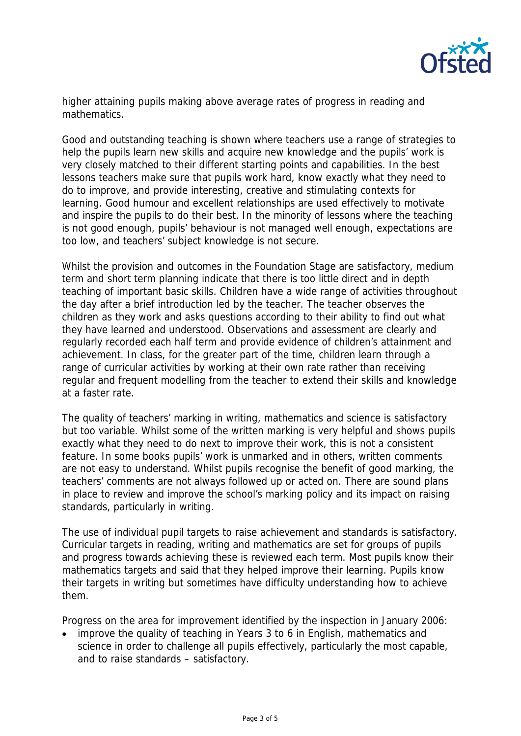

higher attaining pupils making above average rates of progress in reading and mathematics.

Good and outstanding teaching is shown where teachers use a range of strategies to help the pupils learn new skills and acquire new knowledge and the pupils' work is very closely matched to their different starting points and capabilities. In the best lessons teachers make sure that pupils work hard, know exactly what they need to do to improve, and provide interesting, creative and stimulating contexts for learning. Good humour and excellent relationships are used effectively to motivate and inspire the pupils to do their best. In the minority of lessons where the teaching is not good enough, pupils' behaviour is not managed well enough, expectations are too low, and teachers' subject knowledge is not secure.

Whilst the provision and outcomes in the Foundation Stage are satisfactory, medium term and short term planning indicate that there is too little direct and in depth teaching of important basic skills. Children have a wide range of activities throughout the day after a brief introduction led by the teacher. The teacher observes the children as they work and asks questions according to their ability to find out what they have learned and understood. Observations and assessment are clearly and regularly recorded each half term and provide evidence of children's attainment and achievement. In class, for the greater part of the time, children learn through a range of curricular activities by working at their own rate rather than receiving regular and frequent modelling from the teacher to extend their skills and knowledge at a faster rate.

The quality of teachers' marking in writing, mathematics and science is satisfactory but too variable. Whilst some of the written marking is very helpful and shows pupils exactly what they need to do next to improve their work, this is not a consistent feature. In some books pupils' work is unmarked and in others, written comments are not easy to understand. Whilst pupils recognise the benefit of good marking, the teachers' comments are not always followed up or acted on. There are sound plans in place to review and improve the school's marking policy and its impact on raising standards, particularly in writing.

The use of individual pupil targets to raise achievement and standards is satisfactory. Curricular targets in reading, writing and mathematics are set for groups of pupils and progress towards achieving these is reviewed each term. Most pupils know their mathematics targets and said that they helped improve their learning. Pupils know their targets in writing but sometimes have difficulty understanding how to achieve them.

Progress on the area for improvement identified by the inspection in January 2006:

• improve the quality of teaching in Years 3 to 6 in English, mathematics and science in order to challenge all pupils effectively, particularly the most capable, and to raise standards – satisfactory.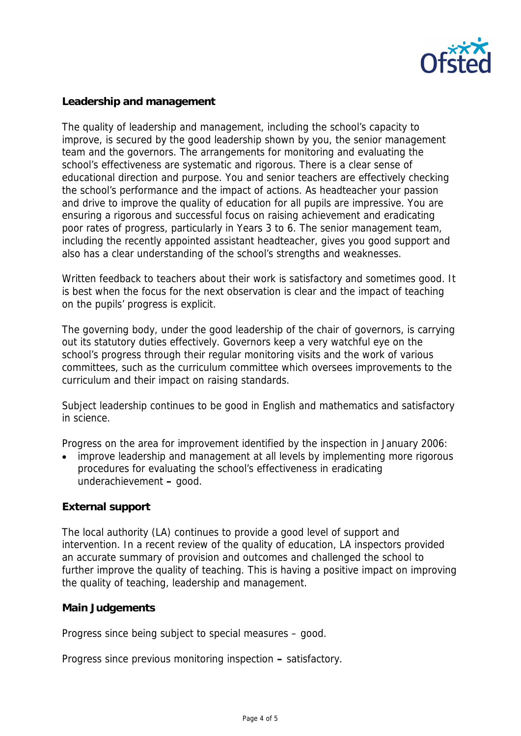

**Leadership and management**

The quality of leadership and management, including the school's capacity to improve, is secured by the good leadership shown by you, the senior management team and the governors. The arrangements for monitoring and evaluating the school's effectiveness are systematic and rigorous. There is a clear sense of educational direction and purpose. You and senior teachers are effectively checking the school's performance and the impact of actions. As headteacher your passion and drive to improve the quality of education for all pupils are impressive. You are ensuring a rigorous and successful focus on raising achievement and eradicating poor rates of progress, particularly in Years 3 to 6. The senior management team, including the recently appointed assistant headteacher, gives you good support and also has a clear understanding of the school's strengths and weaknesses.

Written feedback to teachers about their work is satisfactory and sometimes good. It is best when the focus for the next observation is clear and the impact of teaching on the pupils' progress is explicit.

The governing body, under the good leadership of the chair of governors, is carrying out its statutory duties effectively. Governors keep a very watchful eye on the school's progress through their regular monitoring visits and the work of various committees, such as the curriculum committee which oversees improvements to the curriculum and their impact on raising standards.

Subject leadership continues to be good in English and mathematics and satisfactory in science.

Progress on the area for improvement identified by the inspection in January 2006:

 improve leadership and management at all levels by implementing more rigorous procedures for evaluating the school's effectiveness in eradicating underachievement **–** good.

# **External support**

The local authority (LA) continues to provide a good level of support and intervention. In a recent review of the quality of education, LA inspectors provided an accurate summary of provision and outcomes and challenged the school to further improve the quality of teaching. This is having a positive impact on improving the quality of teaching, leadership and management.

**Main Judgements**

Progress since being subject to special measures – good.

Progress since previous monitoring inspection **–** satisfactory.